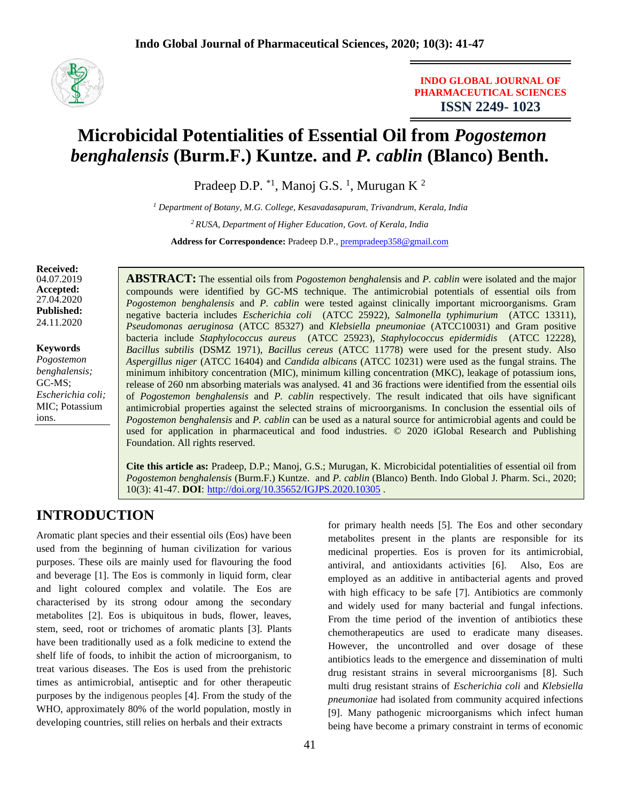

**INDO GLOBAL JOURNAL OF PHARMACEUTICAL SCIENCES ISSN 2249- 1023**

# **Microbicidal Potentialities of Essential Oil from** *Pogostemon benghalensis* **(Burm.F.) Kuntze. and** *P. cablin* **(Blanco) Benth.**

Pradeep D.P.  $^{*1}$ , Manoj G.S.<sup>1</sup>, Murugan K<sup>2</sup>

*<sup>1</sup> Department of Botany, M.G. College, Kesavadasapuram, Trivandrum, Kerala, India <sup>2</sup>RUSA, Department of Higher Education, Govt. of Kerala, India* **Address for Correspondence:** Pradeep D.P., [prempradeep358@gmail.com](mailto:prempradeep358@gmail.com)

**Received:**  04.07.2019 **Accepted:**  27.04.2020 **Published:** 24.11.2020

**Keywords**

*Pogostemon benghalensis;*  GC-MS; *Escherichia coli;* MIC; Potassium ions.

**ABSTRACT:** The essential oils from *Pogostemon benghale*nsis and *P. cablin* were isolated and the major compounds were identified by GC-MS technique. The antimicrobial potentials of essential oils from *Pogostemon benghalensis* and *P. cablin* were tested against clinically important microorganisms. Gram negative bacteria includes *Escherichia coli* (ATCC 25922), *Salmonella typhimurium* (ATCC 13311), *Pseudomonas aeruginosa* (ATCC 85327) and *Klebsiella pneumoniae* (ATCC10031) and Gram positive bacteria include *Staphylococcus aureus* (ATCC 25923), *Staphylococcus epidermidis* (ATCC 12228), *Bacillus subtilis* (DSMZ 1971), *Bacillus cereus* (ATCC 11778) were used for the present study. Also *Aspergillus niger* (ATCC 16404) and *Candida albicans* (ATCC 10231) were used as the fungal strains. The minimum inhibitory concentration (MIC), minimum killing concentration (MKC), leakage of potassium ions, release of 260 nm absorbing materials was analysed. 41 and 36 fractions were identified from the essential oils of *Pogostemon benghalensis* and *P. cablin* respectively. The result indicated that oils have significant antimicrobial properties against the selected strains of microorganisms. In conclusion the essential oils of *Pogostemon benghalensis* and *P. cablin* can be used as a natural source for antimicrobial agents and could be used for application in pharmaceutical and food industries. © 2020 iGlobal Research and Publishing Foundation. All rights reserved.

**Cite this article as:** Pradeep, D.P.; Manoj, G.S.; Murugan, K. Microbicidal potentialities of essential oil from *Pogostemon benghalensis* (Burm.F.) Kuntze. and *P. cablin* (Blanco) Benth. Indo Global J. Pharm. Sci., 2020; 10(3): 41-47. **DOI**: <http://doi.org/10.35652/IGJPS.2020.10305> .

# **INTRODUCTION**

Aromatic plant species and their essential oils (Eos) have been used from the beginning of human civilization for various purposes. These oils are mainly used for flavouring the food and beverage [1]. The Eos is commonly in liquid form, clear and light coloured complex and volatile. The Eos are characterised by its strong odour among the secondary metabolites [2]. Eos is ubiquitous in buds, flower, leaves, stem, seed, root or trichomes of aromatic plants [3]. Plants have been traditionally used as a folk medicine to extend the shelf life of foods, to inhibit the action of microorganism, to treat various diseases. The Eos is used from the prehistoric times as antimicrobial, antiseptic and for other therapeutic purposes by the indigenous peoples [4]. From the study of the WHO, approximately 80% of the world population, mostly in developing countries, still relies on herbals and their extracts

for primary health needs [5]. The Eos and other secondary metabolites present in the plants are responsible for its medicinal properties. Eos is proven for its antimicrobial, antiviral, and antioxidants activities [6]. Also, Eos are employed as an additive in antibacterial agents and proved with high efficacy to be safe [7]. Antibiotics are commonly and widely used for many bacterial and fungal infections. From the time period of the invention of antibiotics these chemotherapeutics are used to eradicate many diseases. However, the uncontrolled and over dosage of these antibiotics leads to the emergence and dissemination of multi drug resistant strains in several microorganisms [8]. Such multi drug resistant strains of *Escherichia coli* and *Klebsiella pneumoniae* had isolated from community acquired infections [9]. Many pathogenic microorganisms which infect human being have become a primary constraint in terms of economic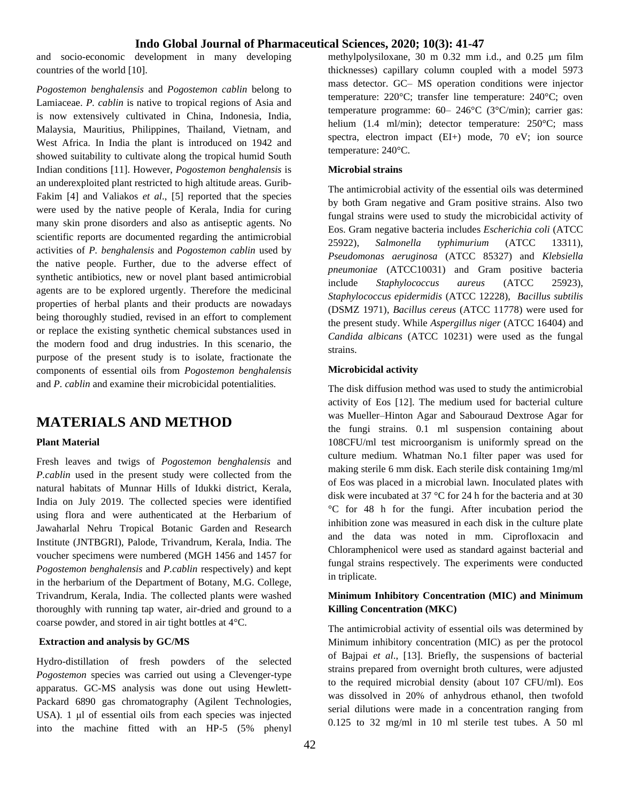and socio-economic development in many developing countries of the world [10].

*Pogostemon benghalensis* and *Pogostemon cablin* belong to Lamiaceae. *P. cablin* is native to tropical regions of Asia and is now extensively cultivated in China, Indonesia, India, Malaysia, Mauritius, Philippines, Thailand, Vietnam, and West Africa. In India the plant is introduced on 1942 and showed suitability to cultivate along the tropical humid South Indian conditions [11]. However, *Pogostemon benghalensis* is an underexploited plant restricted to high altitude areas. Gurib-Fakim [4] and Valiakos *et al*., [5] reported that the species were used by the native people of Kerala, India for curing many skin prone disorders and also as antiseptic agents. No scientific reports are documented regarding the antimicrobial activities of *P. benghalensis* and *Pogostemon cablin* used by the native people. Further, due to the adverse effect of synthetic antibiotics, new or novel plant based antimicrobial agents are to be explored urgently. Therefore the medicinal properties of herbal plants and their products are nowadays being thoroughly studied, revised in an effort to complement or replace the existing synthetic chemical substances used in the modern food and drug industries. In this scenario, the purpose of the present study is to isolate, fractionate the components of essential oils from *Pogostemon benghalensis*  and *P. cablin* and examine their microbicidal potentialities*.*

# **MATERIALS AND METHOD**

#### **Plant Material**

Fresh leaves and twigs of *Pogostemon benghalensis* and *P.cablin* used in the present study were collected from the natural habitats of Munnar Hills of Idukki district, Kerala, India on July 2019. The collected species were identified using flora and were authenticated at the Herbarium of Jawaharlal Nehru Tropical Botanic Garden and Research Institute (JNTBGRI), Palode, Trivandrum, Kerala, India. The voucher specimens were numbered (MGH 1456 and 1457 for *Pogostemon benghalensis* and *P.cablin* respectively) and kept in the herbarium of the Department of Botany, M.G. College, Trivandrum, Kerala, India. The collected plants were washed thoroughly with running tap water, air-dried and ground to a coarse powder, and stored in air tight bottles at 4°C.

### **Extraction and analysis by GC/MS**

Hydro-distillation of fresh powders of the selected *Pogostemon* species was carried out using a Clevenger-type apparatus. GC-MS analysis was done out using Hewlett-Packard 6890 gas chromatography (Agilent Technologies, USA). 1 μl of essential oils from each species was injected into the machine fitted with an HP-5 (5% phenyl methylpolysiloxane, 30 m 0.32 mm i.d., and 0.25 μm film thicknesses) capillary column coupled with a model 5973 mass detector. GC– MS operation conditions were injector temperature: 220°C; transfer line temperature: 240°C; oven temperature programme: 60– 246°C (3°C/min); carrier gas: helium (1.4 ml/min); detector temperature: 250°C; mass spectra, electron impact (EI+) mode, 70 eV; ion source temperature: 240°C.

#### **Microbial strains**

The antimicrobial activity of the essential oils was determined by both Gram negative and Gram positive strains. Also two fungal strains were used to study the microbicidal activity of Eos. Gram negative bacteria includes *Escherichia coli* (ATCC 25922), *Salmonella typhimurium* (ATCC 13311), *Pseudomonas aeruginosa* (ATCC 85327) and *Klebsiella pneumoniae* (ATCC10031) and Gram positive bacteria include *Staphylococcus aureus* (ATCC 25923), *Staphylococcus epidermidis* (ATCC 12228), *Bacillus subtilis* (DSMZ 1971), *Bacillus cereus* (ATCC 11778) were used for the present study. While *Aspergillus niger* (ATCC 16404) and *Candida albicans* (ATCC 10231) were used as the fungal strains.

### **Microbicidal activity**

The disk diffusion method was used to study the antimicrobial activity of Eos [12]. The medium used for bacterial culture was Mueller–Hinton Agar and Sabouraud Dextrose Agar for the fungi strains. 0.1 ml suspension containing about 108CFU/ml test microorganism is uniformly spread on the culture medium. Whatman No.1 filter paper was used for making sterile 6 mm disk. Each sterile disk containing 1mg/ml of Eos was placed in a microbial lawn. Inoculated plates with disk were incubated at 37 °C for 24 h for the bacteria and at 30 °C for 48 h for the fungi. After incubation period the inhibition zone was measured in each disk in the culture plate and the data was noted in mm. Ciprofloxacin and Chloramphenicol were used as standard against bacterial and fungal strains respectively. The experiments were conducted in triplicate.

### **Minimum Inhibitory Concentration (MIC) and Minimum Killing Concentration (MKC)**

The antimicrobial activity of essential oils was determined by Minimum inhibitory concentration (MIC) as per the protocol of Bajpai *et al*., [13]. Briefly, the suspensions of bacterial strains prepared from overnight broth cultures, were adjusted to the required microbial density (about 107 CFU/ml). Eos was dissolved in 20% of anhydrous ethanol, then twofold serial dilutions were made in a concentration ranging from 0.125 to 32 mg/ml in 10 ml sterile test tubes. A 50 ml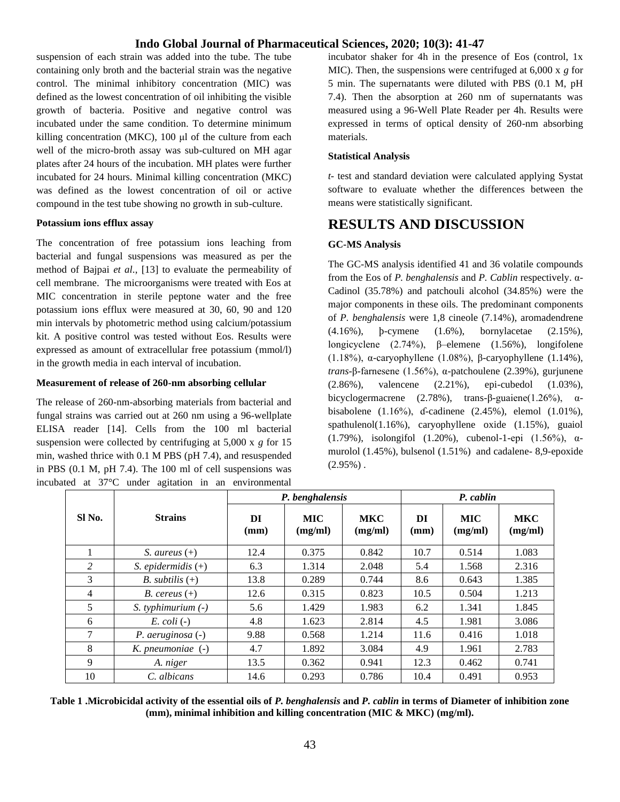suspension of each strain was added into the tube. The tube containing only broth and the bacterial strain was the negative control. The minimal inhibitory concentration (MIC) was defined as the lowest concentration of oil inhibiting the visible growth of bacteria. Positive and negative control was incubated under the same condition. To determine minimum killing concentration (MKC), 100 μl of the culture from each well of the micro-broth assay was sub-cultured on MH agar plates after 24 hours of the incubation. MH plates were further incubated for 24 hours. Minimal killing concentration (MKC) was defined as the lowest concentration of oil or active compound in the test tube showing no growth in sub-culture.

### **Potassium ions efflux assay**

The concentration of free potassium ions leaching from bacterial and fungal suspensions was measured as per the method of Bajpai *et al*., [13] to evaluate the permeability of cell membrane. The microorganisms were treated with Eos at MIC concentration in sterile peptone water and the free potassium ions efflux were measured at 30, 60, 90 and 120 min intervals by photometric method using calcium/potassium kit. A positive control was tested without Eos. Results were expressed as amount of extracellular free potassium (mmol/l) in the growth media in each interval of incubation.

### **Measurement of release of 260-nm absorbing cellular**

The release of 260-nm-absorbing materials from bacterial and fungal strains was carried out at 260 nm using a 96-wellplate ELISA reader [14]. Cells from the 100 ml bacterial suspension were collected by centrifuging at 5,000 x *g* for 15 min, washed thrice with 0.1 M PBS (pH 7.4), and resuspended in PBS (0.1 M, pH 7.4). The 100 ml of cell suspensions was incubated at 37°C under agitation in an environmental

incubator shaker for 4h in the presence of Eos (control, 1x MIC). Then, the suspensions were centrifuged at 6,000 x *g* for 5 min. The supernatants were diluted with PBS (0.1 M, pH 7.4). Then the absorption at 260 nm of supernatants was measured using a 96-Well Plate Reader per 4h. Results were expressed in terms of optical density of 260-nm absorbing materials.

#### **Statistical Analysis**

*t-* test and standard deviation were calculated applying Systat software to evaluate whether the differences between the means were statistically significant.

## **RESULTS AND DISCUSSION**

### **GC-MS Analysis**

The GC-MS analysis identified 41 and 36 volatile compounds from the Eos of *P. benghalensis* and *P. Cablin* respectively. α-Cadinol (35.78%) and patchouli alcohol (34.85%) were the major components in these oils. The predominant components of *P. benghalensis* were 1,8 cineole (7.14%), aromadendrene (4.16%), þ-cymene (1.6%), bornylacetae (2.15%), longicyclene (2.74%), β–elemene (1.56%), longifolene (1.18%), α-caryophyllene (1.08%), β-caryophyllene (1.14%), *trans*-β-farnesene (1.56%), α-patchoulene (2.39%), gurjunene (2.86%), valencene (2.21%), epi-cubedol (1.03%), bicyclogermacrene  $(2.78\%)$ , trans-β-guaiene $(1.26\%)$ ,  $\alpha$ bisabolene (1.16%), ɗ-cadinene (2.45%), elemol (1.01%), spathulenol(1.16%), caryophyllene oxide (1.15%), guaiol (1.79%), isolongifol (1.20%), cubenol-1-epi (1.56%), αmurolol (1.45%), bulsenol (1.51%) and cadalene- 8,9-epoxide  $(2.95\%)$ .

|                   | <b>Strains</b>           | P. benghalensis |                       |                       | P. cablin  |                       |                       |
|-------------------|--------------------------|-----------------|-----------------------|-----------------------|------------|-----------------------|-----------------------|
| SI <sub>No.</sub> |                          | DI<br>(mm)      | <b>MIC</b><br>(mg/ml) | <b>MKC</b><br>(mg/ml) | DI<br>(mm) | <b>MIC</b><br>(mg/ml) | <b>MKC</b><br>(mg/ml) |
|                   | S. aureus $(+)$          | 12.4            | 0.375                 | 0.842                 | 10.7       | 0.514                 | 1.083                 |
| 2                 | S. epidermidis $(+)$     | 6.3             | 1.314                 | 2.048                 | 5.4        | 1.568                 | 2.316                 |
| 3                 | <i>B.</i> subtilis $(+)$ | 13.8            | 0.289                 | 0.744                 | 8.6        | 0.643                 | 1.385                 |
| 4                 | <i>B.</i> cereus $(+)$   | 12.6            | 0.315                 | 0.823                 | 10.5       | 0.504                 | 1.213                 |
| 5                 | $S.$ typhimurium $(-)$   | 5.6             | 1.429                 | 1.983                 | 6.2        | 1.341                 | 1.845                 |
| 6                 | $E. \, coli$ (-)         | 4.8             | 1.623                 | 2.814                 | 4.5        | 1.981                 | 3.086                 |
| 7                 | $P.$ aeruginosa $(-)$    | 9.88            | 0.568                 | 1.214                 | 11.6       | 0.416                 | 1.018                 |
| 8                 | $K.$ pneumoniae $(-)$    | 4.7             | 1.892                 | 3.084                 | 4.9        | 1.961                 | 2.783                 |
| 9                 | A. niger                 | 13.5            | 0.362                 | 0.941                 | 12.3       | 0.462                 | 0.741                 |
| 10                | C. albicans              | 14.6            | 0.293                 | 0.786                 | 10.4       | 0.491                 | 0.953                 |

**Table 1 .Microbicidal activity of the essential oils of** *P. benghalensis* **and** *P. cablin* **in terms of Diameter of inhibition zone (mm), minimal inhibition and killing concentration (MIC & MKC) (mg/ml).**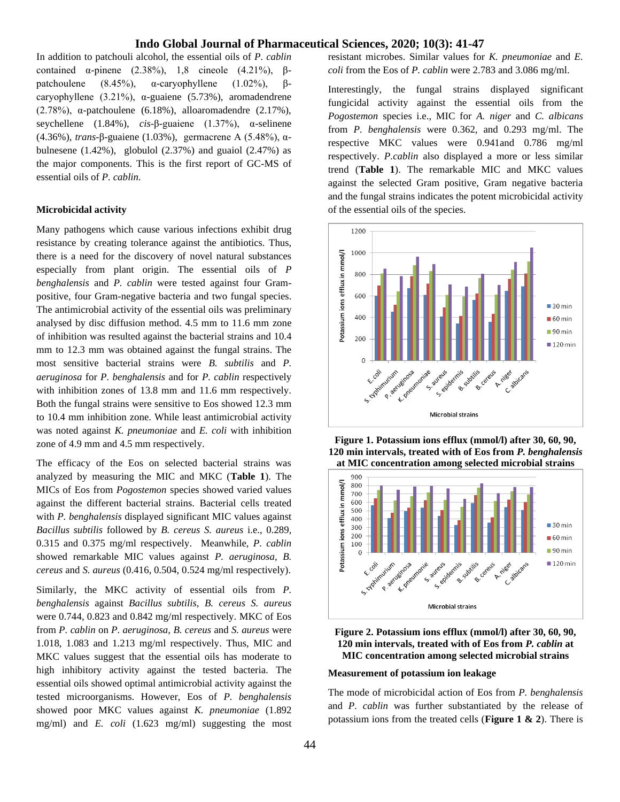In addition to patchouli alcohol, the essential oils of *P. cablin* contained α-pinene (2.38%), 1,8 cineole (4.21%), βpatchoulene (8.45%), α-caryophyllene (1.02%), βcaryophyllene (3.21%), α-guaiene (5.73%), aromadendrene (2.78%), α-patchoulene (6.18%), alloaromadendre (2.17%), seychellene (1.84%), *cis*-β-guaiene (1.37%), α-selinene (4.36%), *trans*-β-guaiene (1.03%), germacrene A (5.48%), αbulnesene  $(1.42\%)$ , globulol  $(2.37\%)$  and guaiol  $(2.47\%)$  as the major components. This is the first report of GC-MS of essential oils of *P. cablin.*

#### **Microbicidal activity**

Many pathogens which cause various infections exhibit drug resistance by creating tolerance against the antibiotics. Thus, there is a need for the discovery of novel natural substances especially from plant origin. The essential oils of *P benghalensis* and *P. cablin* were tested against four Grampositive, four Gram-negative bacteria and two fungal species. The antimicrobial activity of the essential oils was preliminary analysed by disc diffusion method. 4.5 mm to 11.6 mm zone of inhibition was resulted against the bacterial strains and 10.4 mm to 12.3 mm was obtained against the fungal strains. The most sensitive bacterial strains were *B. subtilis* and *P. aeruginosa* for *P. benghalensis* and for *P. cablin* respectively with inhibition zones of 13.8 mm and 11.6 mm respectively. Both the fungal strains were sensitive to Eos showed 12.3 mm to 10.4 mm inhibition zone. While least antimicrobial activity was noted against *K. pneumoniae* and *E. coli* with inhibition zone of 4.9 mm and 4.5 mm respectively.

The efficacy of the Eos on selected bacterial strains was analyzed by measuring the MIC and MKC (**Table 1**). The MICs of Eos from *Pogostemon* species showed varied values against the different bacterial strains. Bacterial cells treated with *P. benghalensis* displayed significant MIC values against *Bacillus subtilis* followed by *B. cereus S. aureus* i.e., 0.289, 0.315 and 0.375 mg/ml respectively. Meanwhile, *P. cablin* showed remarkable MIC values against *P. aeruginosa, B. cereus* and *S. aureus* (0.416, 0.504, 0.524 mg/ml respectively).

Similarly, the MKC activity of essential oils from *P. benghalensis* against *Bacillus subtilis, B. cereus S. aureus*  were 0.744, 0.823 and 0.842 mg/ml respectively. MKC of Eos from *P. cablin* on *P. aeruginosa, B. cereus* and *S. aureus* were 1.018, 1.083 and 1.213 mg/ml respectively. Thus, MIC and MKC values suggest that the essential oils has moderate to high inhibitory activity against the tested bacteria. The essential oils showed optimal antimicrobial activity against the tested microorganisms. However, Eos of *P. benghalensis*  showed poor MKC values against *K. pneumoniae* (1.892 mg/ml) and *E. coli* (1.623 mg/ml) suggesting the most resistant microbes. Similar values for *K. pneumoniae* and *E. coli* from the Eos of *P. cablin* were 2.783 and 3.086 mg/ml.

Interestingly, the fungal strains displayed significant fungicidal activity against the essential oils from the *Pogostemon* species i.e., MIC for *A. niger* and *C. albicans* from *P. benghalensis* were 0.362, and 0.293 mg/ml. The respective MKC values were 0.941and 0.786 mg/ml respectively. *P.cablin* also displayed a more or less similar trend (**Table 1**). The remarkable MIC and MKC values against the selected Gram positive, Gram negative bacteria and the fungal strains indicates the potent microbicidal activity of the essential oils of the species.









#### **Measurement of potassium ion leakage**

The mode of microbicidal action of Eos from *P. benghalensis* and *P. cablin* was further substantiated by the release of potassium ions from the treated cells (**Figure 1 & 2**). There is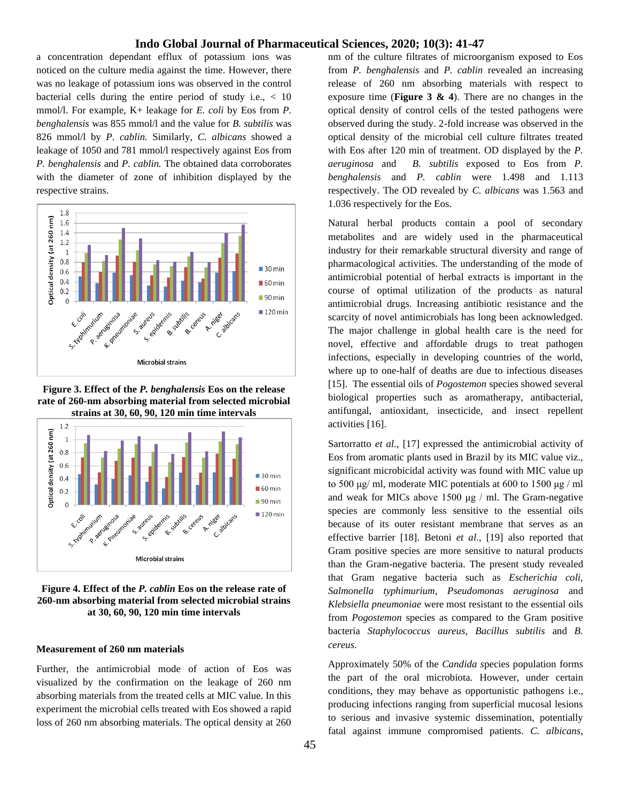a concentration dependant efflux of potassium ions was noticed on the culture media against the time. However, there was no leakage of potassium ions was observed in the control bacterial cells during the entire period of study i.e.,  $\langle 10 \rangle$ mmol/l. For example, K+ leakage for *E. coli* by Eos from *P. benghalensis* was 855 mmol/l and the value for *B. subtilis* was 826 mmol/l by *P. cablin.* Similarly, *C. albicans* showed a leakage of 1050 and 781 mmol/l respectively against Eos from *P. benghalensis* and *P. cablin.* The obtained data corroborates with the diameter of zone of inhibition displayed by the respective strains.



**Figure 3. Effect of the** *P. benghalensis* **Eos on the release rate of 260-nm absorbing material from selected microbial strains at 30, 60, 90, 120 min time intervals**



**Figure 4. Effect of the** *P. cablin* **Eos on the release rate of 260-nm absorbing material from selected microbial strains at 30, 60, 90, 120 min time intervals**

#### **Measurement of 260 nm materials**

Further, the antimicrobial mode of action of Eos was visualized by the confirmation on the leakage of 260 nm absorbing materials from the treated cells at MIC value. In this experiment the microbial cells treated with Eos showed a rapid loss of 260 nm absorbing materials. The optical density at 260

nm of the culture filtrates of microorganism exposed to Eos from *P. benghalensis* and *P. cablin* revealed an increasing release of 260 nm absorbing materials with respect to exposure time (**Figure 3 & 4**). There are no changes in the optical density of control cells of the tested pathogens were observed during the study. 2-fold increase was observed in the optical density of the microbial cell culture filtrates treated with Eos after 120 min of treatment. OD displayed by the *P. aeruginosa* and *B. subtilis* exposed to Eos from *P. benghalensis* and *P. cablin* were 1.498 and 1.113 respectively. The OD revealed by *C. albicans* was 1.563 and 1.036 respectively for the Eos.

Natural herbal products contain a pool of secondary metabolites and are widely used in the pharmaceutical industry for their remarkable structural diversity and range of pharmacological activities. The understanding of the mode of antimicrobial potential of herbal extracts is important in the course of optimal utilization of the products as natural antimicrobial drugs. Increasing antibiotic resistance and the scarcity of novel antimicrobials has long been acknowledged. The major challenge in global health care is the need for novel, effective and affordable drugs to treat pathogen infections, especially in developing countries of the world, where up to one-half of deaths are due to infectious diseases [15]. The essential oils of *Pogostemon* species showed several biological properties such as aromatherapy, antibacterial, antifungal, antioxidant, insecticide, and insect repellent activities [16].

Sartorratto *et al*., [17] expressed the antimicrobial activity of Eos from aromatic plants used in Brazil by its MIC value viz., significant microbicidal activity was found with MIC value up to 500 μg/ ml, moderate MIC potentials at 600 to 1500 μg / ml and weak for MICs above 1500  $\mu$ g / ml. The Gram-negative species are commonly less sensitive to the essential oils because of its outer resistant membrane that serves as an effective barrier [18]. Betoni *et al*., [19] also reported that Gram positive species are more sensitive to natural products than the Gram-negative bacteria. The present study revealed that Gram negative bacteria such as *Escherichia coli, Salmonella typhimurium*, *Pseudomonas aeruginosa* and *Klebsiella pneumoniae* were most resistant to the essential oils from *Pogostemon* species as compared to the Gram positive bacteria *Staphylococcus aureus*, *Bacillus subtilis* and *B. cereus*.

Approximately 50% of the *Candida s*pecies population forms the part of the oral microbiota. However, under certain conditions, they may behave as opportunistic pathogens i.e., producing infections ranging from superficial mucosal lesions to serious and invasive systemic dissemination, potentially fatal against immune compromised patients. *C. albicans*,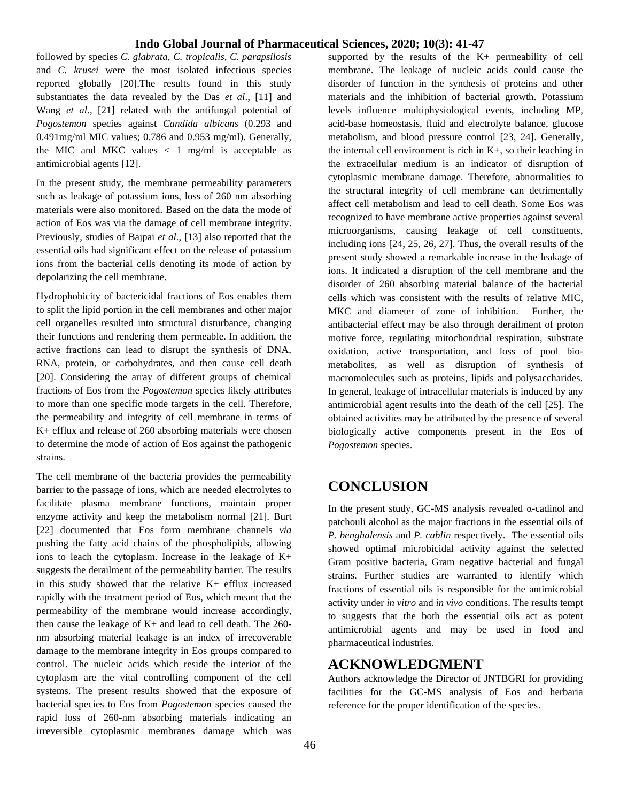followed by species *C. glabrata*, *C. tropicalis, C. parapsilosis* and *C. krusei* were the most isolated infectious species reported globally [20].The results found in this study substantiates the data revealed by the Das *et al*., [11] and Wang *et al*., [21] related with the antifungal potential of *Pogostemon* species against *Candida albicans* (0.293 and 0.491mg/ml MIC values; 0.786 and 0.953 mg/ml). Generally, the MIC and MKC values  $\langle 1 \text{ mg/ml} \rangle$  is acceptable as antimicrobial agents [12].

In the present study, the membrane permeability parameters such as leakage of potassium ions, loss of 260 nm absorbing materials were also monitored. Based on the data the mode of action of Eos was via the damage of cell membrane integrity. Previously, studies of Bajpai *et al*., [13] also reported that the essential oils had significant effect on the release of potassium ions from the bacterial cells denoting its mode of action by depolarizing the cell membrane.

Hydrophobicity of bactericidal fractions of Eos enables them to split the lipid portion in the cell membranes and other major cell organelles resulted into structural disturbance, changing their functions and rendering them permeable. In addition, the active fractions can lead to disrupt the synthesis of DNA, RNA, protein, or carbohydrates, and then cause cell death [20]. Considering the array of different groups of chemical fractions of Eos from the *Pogostemon* species likely attributes to more than one specific mode targets in the cell. Therefore, the permeability and integrity of cell membrane in terms of K+ efflux and release of 260 absorbing materials were chosen to determine the mode of action of Eos against the pathogenic strains.

The cell membrane of the bacteria provides the permeability barrier to the passage of ions, which are needed electrolytes to facilitate plasma membrane functions, maintain proper enzyme activity and keep the metabolism normal [21]. Burt [22] documented that Eos form membrane channels *via* pushing the fatty acid chains of the phospholipids, allowing ions to leach the cytoplasm. Increase in the leakage of K+ suggests the derailment of the permeability barrier. The results in this study showed that the relative K+ efflux increased rapidly with the treatment period of Eos, which meant that the permeability of the membrane would increase accordingly, then cause the leakage of K+ and lead to cell death. The 260 nm absorbing material leakage is an index of irrecoverable damage to the membrane integrity in Eos groups compared to control. The nucleic acids which reside the interior of the cytoplasm are the vital controlling component of the cell systems. The present results showed that the exposure of bacterial species to Eos from *Pogostemon* species caused the rapid loss of 260-nm absorbing materials indicating an irreversible cytoplasmic membranes damage which was supported by the results of the K+ permeability of cell membrane. The leakage of nucleic acids could cause the disorder of function in the synthesis of proteins and other materials and the inhibition of bacterial growth. Potassium levels influence multiphysiological events, including MP, acid-base homeostasis, fluid and electrolyte balance, glucose metabolism, and blood pressure control [23, 24]. Generally, the internal cell environment is rich in  $K<sub>+</sub>$ , so their leaching in the extracellular medium is an indicator of disruption of cytoplasmic membrane damage. Therefore, abnormalities to the structural integrity of cell membrane can detrimentally affect cell metabolism and lead to cell death. Some Eos was recognized to have membrane active properties against several microorganisms, causing leakage of cell constituents, including ions [24, 25, 26, 27]. Thus, the overall results of the present study showed a remarkable increase in the leakage of ions. It indicated a disruption of the cell membrane and the disorder of 260 absorbing material balance of the bacterial cells which was consistent with the results of relative MIC, MKC and diameter of zone of inhibition. Further, the antibacterial effect may be also through derailment of proton motive force, regulating mitochondrial respiration, substrate oxidation, active transportation, and loss of pool biometabolites, as well as disruption of synthesis of macromolecules such as proteins, lipids and polysaccharides. In general, leakage of intracellular materials is induced by any antimicrobial agent results into the death of the cell [25]. The obtained activities may be attributed by the presence of several biologically active components present in the Eos of *Pogostemon* species.

# **CONCLUSION**

In the present study, GC-MS analysis revealed α-cadinol and patchouli alcohol as the major fractions in the essential oils of *P. benghalensis* and *P. cablin* respectively. The essential oils showed optimal microbicidal activity against the selected Gram positive bacteria, Gram negative bacterial and fungal strains. Further studies are warranted to identify which fractions of essential oils is responsible for the antimicrobial activity under *in vitro* and *in vivo* conditions. The results tempt to suggests that the both the essential oils act as potent antimicrobial agents and may be used in food and pharmaceutical industries.

## **ACKNOWLEDGMENT**

Authors acknowledge the Director of JNTBGRI for providing facilities for the GC-MS analysis of Eos and herbaria reference for the proper identification of the species.